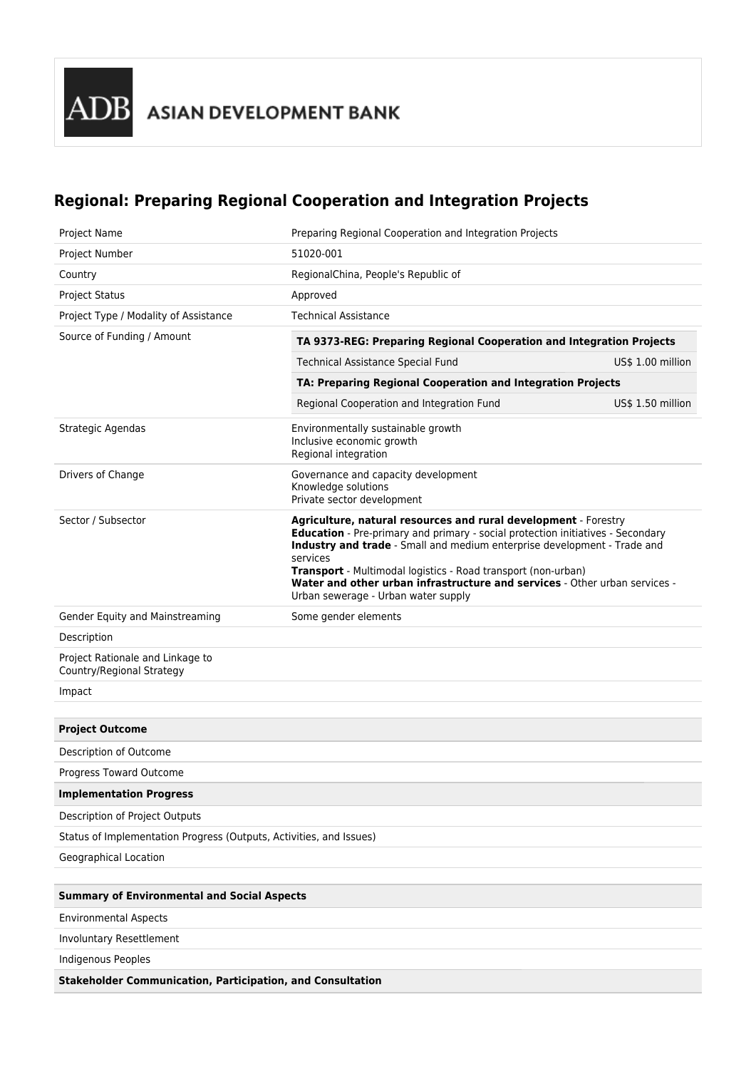## **Regional: Preparing Regional Cooperation and Integration Projects**

| Project Name                                                        | Preparing Regional Cooperation and Integration Projects                                                                                                                                                                                                                                                                                                                                                                          |                   |  |  |
|---------------------------------------------------------------------|----------------------------------------------------------------------------------------------------------------------------------------------------------------------------------------------------------------------------------------------------------------------------------------------------------------------------------------------------------------------------------------------------------------------------------|-------------------|--|--|
| Project Number                                                      | 51020-001                                                                                                                                                                                                                                                                                                                                                                                                                        |                   |  |  |
| Country                                                             | RegionalChina, People's Republic of                                                                                                                                                                                                                                                                                                                                                                                              |                   |  |  |
| <b>Project Status</b>                                               | Approved                                                                                                                                                                                                                                                                                                                                                                                                                         |                   |  |  |
| Project Type / Modality of Assistance                               | <b>Technical Assistance</b>                                                                                                                                                                                                                                                                                                                                                                                                      |                   |  |  |
| Source of Funding / Amount                                          | TA 9373-REG: Preparing Regional Cooperation and Integration Projects                                                                                                                                                                                                                                                                                                                                                             |                   |  |  |
|                                                                     | <b>Technical Assistance Special Fund</b>                                                                                                                                                                                                                                                                                                                                                                                         | US\$ 1.00 million |  |  |
|                                                                     | TA: Preparing Regional Cooperation and Integration Projects                                                                                                                                                                                                                                                                                                                                                                      |                   |  |  |
|                                                                     | Regional Cooperation and Integration Fund                                                                                                                                                                                                                                                                                                                                                                                        | US\$ 1.50 million |  |  |
| Strategic Agendas                                                   | Environmentally sustainable growth<br>Inclusive economic growth<br>Regional integration                                                                                                                                                                                                                                                                                                                                          |                   |  |  |
| Drivers of Change                                                   | Governance and capacity development<br>Knowledge solutions<br>Private sector development                                                                                                                                                                                                                                                                                                                                         |                   |  |  |
| Sector / Subsector                                                  | Agriculture, natural resources and rural development - Forestry<br>Education - Pre-primary and primary - social protection initiatives - Secondary<br>Industry and trade - Small and medium enterprise development - Trade and<br>services<br>Transport - Multimodal logistics - Road transport (non-urban)<br>Water and other urban infrastructure and services - Other urban services -<br>Urban sewerage - Urban water supply |                   |  |  |
| Gender Equity and Mainstreaming                                     | Some gender elements                                                                                                                                                                                                                                                                                                                                                                                                             |                   |  |  |
| Description                                                         |                                                                                                                                                                                                                                                                                                                                                                                                                                  |                   |  |  |
| Project Rationale and Linkage to<br>Country/Regional Strategy       |                                                                                                                                                                                                                                                                                                                                                                                                                                  |                   |  |  |
| Impact                                                              |                                                                                                                                                                                                                                                                                                                                                                                                                                  |                   |  |  |
|                                                                     |                                                                                                                                                                                                                                                                                                                                                                                                                                  |                   |  |  |
| <b>Project Outcome</b>                                              |                                                                                                                                                                                                                                                                                                                                                                                                                                  |                   |  |  |
| Description of Outcome                                              |                                                                                                                                                                                                                                                                                                                                                                                                                                  |                   |  |  |
| Progress Toward Outcome                                             |                                                                                                                                                                                                                                                                                                                                                                                                                                  |                   |  |  |
| <b>Implementation Progress</b>                                      |                                                                                                                                                                                                                                                                                                                                                                                                                                  |                   |  |  |
| Description of Project Outputs                                      |                                                                                                                                                                                                                                                                                                                                                                                                                                  |                   |  |  |
| Status of Implementation Progress (Outputs, Activities, and Issues) |                                                                                                                                                                                                                                                                                                                                                                                                                                  |                   |  |  |
| Geographical Location                                               |                                                                                                                                                                                                                                                                                                                                                                                                                                  |                   |  |  |
|                                                                     |                                                                                                                                                                                                                                                                                                                                                                                                                                  |                   |  |  |
| <b>Summary of Environmental and Social Aspects</b>                  |                                                                                                                                                                                                                                                                                                                                                                                                                                  |                   |  |  |
| <b>Environmental Aspects</b>                                        |                                                                                                                                                                                                                                                                                                                                                                                                                                  |                   |  |  |
| Involuntary Resettlement                                            |                                                                                                                                                                                                                                                                                                                                                                                                                                  |                   |  |  |
| Indigenous Peoples                                                  |                                                                                                                                                                                                                                                                                                                                                                                                                                  |                   |  |  |
| <b>Stakeholder Communication, Participation, and Consultation</b>   |                                                                                                                                                                                                                                                                                                                                                                                                                                  |                   |  |  |
|                                                                     |                                                                                                                                                                                                                                                                                                                                                                                                                                  |                   |  |  |